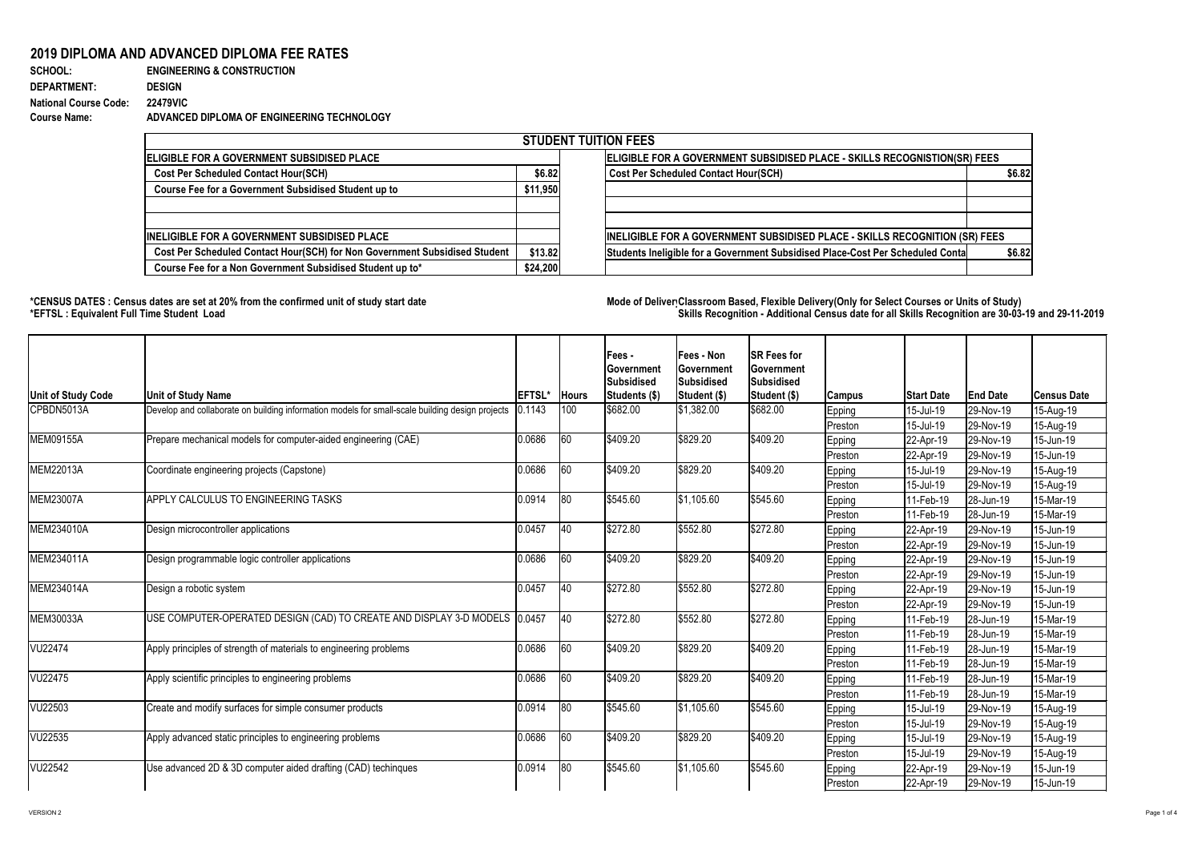## **2019 DIPLOMA AND ADVANCED DIPLOMA FEE RATES**

| <b>SCHOOL:</b>               | <b>ENGINEERING &amp; CONSTRUCTION</b>      |
|------------------------------|--------------------------------------------|
| <b>DEPARTMENT:</b>           | <b>DESIGN</b>                              |
| <b>National Course Code:</b> | <b>22479VIC</b>                            |
| <b>Course Name:</b>          | ADVANCED DIPLOMA OF ENGINEERING TECHNOLOGY |

| <b>STUDENT TUITION FEES</b>                                                |          |                                                                                          |  |  |  |  |  |  |
|----------------------------------------------------------------------------|----------|------------------------------------------------------------------------------------------|--|--|--|--|--|--|
| ELIGIBLE FOR A GOVERNMENT SUBSIDISED PLACE                                 |          | ELIGIBLE FOR A GOVERNMENT SUBSIDISED PLACE - SKILLS RECOGNISTION(SR) FEES                |  |  |  |  |  |  |
| <b>Cost Per Scheduled Contact Hour(SCH)</b>                                | \$6.82   | <b>Cost Per Scheduled Contact Hour(SCH)</b><br>\$6.82                                    |  |  |  |  |  |  |
| Course Fee for a Government Subsidised Student up to                       | \$11,950 |                                                                                          |  |  |  |  |  |  |
|                                                                            |          |                                                                                          |  |  |  |  |  |  |
| <b>INELIGIBLE FOR A GOVERNMENT SUBSIDISED PLACE</b>                        |          | INELIGIBLE FOR A GOVERNMENT SUBSIDISED PLACE - SKILLS RECOGNITION (SR) FEES              |  |  |  |  |  |  |
| Cost Per Scheduled Contact Hour(SCH) for Non Government Subsidised Student | \$13.82  | Students Ineligible for a Government Subsidised Place-Cost Per Scheduled Conta<br>\$6.82 |  |  |  |  |  |  |
| Course Fee for a Non Government Subsidised Student up to*                  | \$24,200 |                                                                                          |  |  |  |  |  |  |

## **\*CENSUS DATES : Census dates are set at 20% from the confirmed unit of study start date Mode of DeliveryClassroom Based, Flexible Delivery(Only for Select Courses or Units of Study) \*EFTSL : Equivalent Full Time Student Load Skills Recognition - Additional Census date for all Skills Recognition are 30-03-19 and 29-11-2019**



| <b>Unit of Study Code</b> | <b>Unit of Study Name</b>                                                                       | <b>EFTSL*</b> | <b>Hours</b> | Fees -<br> Government<br><b>Subsidised</b><br><b>Students (\$)</b> | <b>Fees - Non</b><br><b>Government</b><br>Subsidised<br>Student (\$) | <b>SR Fees for</b><br><b>Government</b><br><b>Subsidised</b><br>Student (\$) | <b>Campus</b> | <b>Start Date</b> | <b>End Date</b> | <b>Census Date</b> |
|---------------------------|-------------------------------------------------------------------------------------------------|---------------|--------------|--------------------------------------------------------------------|----------------------------------------------------------------------|------------------------------------------------------------------------------|---------------|-------------------|-----------------|--------------------|
| CPBDN5013A                | Develop and collaborate on building information models for small-scale building design projects | ).1143        | 100          | \$682.00                                                           | \$1,382.00                                                           | \$682.00                                                                     | <b>Epping</b> | 15-Jul-19         | 29-Nov-19       | 15-Aug-19          |
|                           |                                                                                                 |               |              |                                                                    |                                                                      |                                                                              | Preston       | 15-Jul-19         | 29-Nov-19       | 15-Aug-19          |
| MEM09155A                 | Prepare mechanical models for computer-aided engineering (CAE)                                  | 0.0686        | 60           | \$409.20                                                           | \$829.20                                                             | \$409.20                                                                     | <b>Epping</b> | $ 22 - Apr-19 $   | 29-Nov-19       | 15-Jun-19          |
|                           |                                                                                                 |               |              |                                                                    |                                                                      |                                                                              | Preston       | 22-Apr-19         | 29-Nov-19       | 15-Jun-19          |
| MEM22013A                 | Coordinate engineering projects (Capstone)                                                      | 0.0686        | 60           | \$409.20                                                           | \$829.20                                                             | \$409.20                                                                     | <b>Epping</b> | 15-Jul-19         | 29-Nov-19       | 15-Aug-19          |
|                           |                                                                                                 |               |              |                                                                    |                                                                      |                                                                              | Preston       | 15-Jul-19         | 29-Nov-19       | 15-Aug-19          |
| MEM23007A                 | <b>APPLY CALCULUS TO ENGINEERING TASKS</b>                                                      | 0.0914        | $ 80\rangle$ | \$545.60                                                           | \$1,105.60                                                           | \$545.60                                                                     | Epping        | 11-Feb-19         | 28-Jun-19       | 15-Mar-19          |
|                           |                                                                                                 |               |              |                                                                    |                                                                      |                                                                              | Preston       | 11-Feb-19         | 28-Jun-19       | 15-Mar-19          |
| MEM234010A                | Design microcontroller applications                                                             | 0.0457        | $ 40\rangle$ | \$272.80                                                           | \$552.80                                                             | \$272.80                                                                     | <b>Epping</b> | $ 22 - Apr-19 $   | 29-Nov-19       | 15-Jun-19          |
|                           |                                                                                                 |               |              |                                                                    |                                                                      |                                                                              | Preston       | $ 22 - Apr - 19 $ | 29-Nov-19       | 15-Jun-19          |
| MEM234011A                | Design programmable logic controller applications                                               | 0.0686        | 60           | \$409.20                                                           | \$829.20                                                             | \$409.20                                                                     | <b>Epping</b> | $ 22 - Apr - 19 $ | 29-Nov-19       | 15-Jun-19          |
|                           |                                                                                                 |               |              |                                                                    |                                                                      |                                                                              | Preston       | $ 22 - Apr - 19 $ | 29-Nov-19       | 15-Jun-19          |
| MEM234014A                | Design a robotic system                                                                         | 0.0457        | 40           | \$272.80                                                           | \$552.80                                                             | \$272.80                                                                     | <b>Epping</b> | $ 22 - Apr - 19 $ | 29-Nov-19       | 15-Jun-19          |
|                           |                                                                                                 |               |              |                                                                    |                                                                      |                                                                              | Preston       | $ 22 - Apr-19 $   | 29-Nov-19       | $15$ -Jun-19       |
| MEM30033A                 | USE COMPUTER-OPERATED DESIGN (CAD) TO CREATE AND DISPLAY 3-D MODELS 0.0457                      |               | $ 40\rangle$ | \$272.80                                                           | \$552.80                                                             | \$272.80                                                                     | <b>Epping</b> | 11-Feb-19         | 28-Jun-19       | 15-Mar-19          |
|                           |                                                                                                 |               |              |                                                                    |                                                                      |                                                                              | Preston       | 11-Feb-19         | 28-Jun-19       | 15-Mar-19          |
| VU22474                   | Apply principles of strength of materials to engineering problems                               | 0.0686        | 60           | \$409.20                                                           | \$829.20                                                             | \$409.20                                                                     | <b>Epping</b> | $11$ -Feb-19      | 28-Jun-19       | 15-Mar-19          |
|                           |                                                                                                 |               |              |                                                                    |                                                                      |                                                                              | Preston       | 11-Feb-19         | 28-Jun-19       | 15-Mar-19          |
| VU22475                   | Apply scientific principles to engineering problems                                             | 0.0686        | 60           | \$409.20                                                           | \$829.20                                                             | \$409.20                                                                     | <b>Epping</b> | 11-Feb-19         | 28-Jun-19       | 15-Mar-19          |
|                           |                                                                                                 |               |              |                                                                    |                                                                      |                                                                              | Preston       | 11-Feb-19         | 28-Jun-19       | 15-Mar-19          |
| VU22503                   | Create and modify surfaces for simple consumer products                                         | 0.0914        | 80           | \$545.60                                                           | \$1,105.60                                                           | \$545.60                                                                     | <b>Epping</b> | $15$ -Jul-19      | 29-Nov-19       | 15-Aug-19          |
|                           |                                                                                                 |               |              |                                                                    |                                                                      |                                                                              | Preston       | 15-Jul-19         | 29-Nov-19       | 15-Aug-19          |
| VU22535                   | Apply advanced static principles to engineering problems                                        | 0.0686        | 60           | \$409.20                                                           | \$829.20                                                             | \$409.20                                                                     | <b>Epping</b> | 15-Jul-19         | 29-Nov-19       | 15-Aug-19          |
|                           |                                                                                                 |               |              |                                                                    |                                                                      |                                                                              | Preston       | 15-Jul-19         | 29-Nov-19       | 15-Aug-19          |
| VU22542                   | Use advanced 2D & 3D computer aided drafting (CAD) techinques                                   | 0.0914        | $ 80\rangle$ | \$545.60                                                           | \$1,105.60                                                           | \$545.60                                                                     | <b>Epping</b> | $ 22 - Apr - 19 $ | 29-Nov-19       | 15-Jun-19          |
|                           |                                                                                                 |               |              |                                                                    |                                                                      |                                                                              | Preston       | $ 22 - Apr-19 $   | 29-Nov-19       | 15-Jun-19          |

|          | <b>STUDENT TUITION FEES</b>                                                    |        |  |  |  |  |  |  |  |  |  |
|----------|--------------------------------------------------------------------------------|--------|--|--|--|--|--|--|--|--|--|
|          | ELIGIBLE FOR A GOVERNMENT SUBSIDISED PLACE - SKILLS RECOGNISTION(SR) FEES      |        |  |  |  |  |  |  |  |  |  |
| \$6.82   | <b>Cost Per Scheduled Contact Hour(SCH)</b>                                    | \$6.82 |  |  |  |  |  |  |  |  |  |
| \$11,950 |                                                                                |        |  |  |  |  |  |  |  |  |  |
|          |                                                                                |        |  |  |  |  |  |  |  |  |  |
|          |                                                                                |        |  |  |  |  |  |  |  |  |  |
|          | INELIGIBLE FOR A GOVERNMENT SUBSIDISED PLACE - SKILLS RECOGNITION (SR) FEES    |        |  |  |  |  |  |  |  |  |  |
| \$13.82  | Students Ineligible for a Government Subsidised Place-Cost Per Scheduled Conta | \$6.82 |  |  |  |  |  |  |  |  |  |
| \$24,200 |                                                                                |        |  |  |  |  |  |  |  |  |  |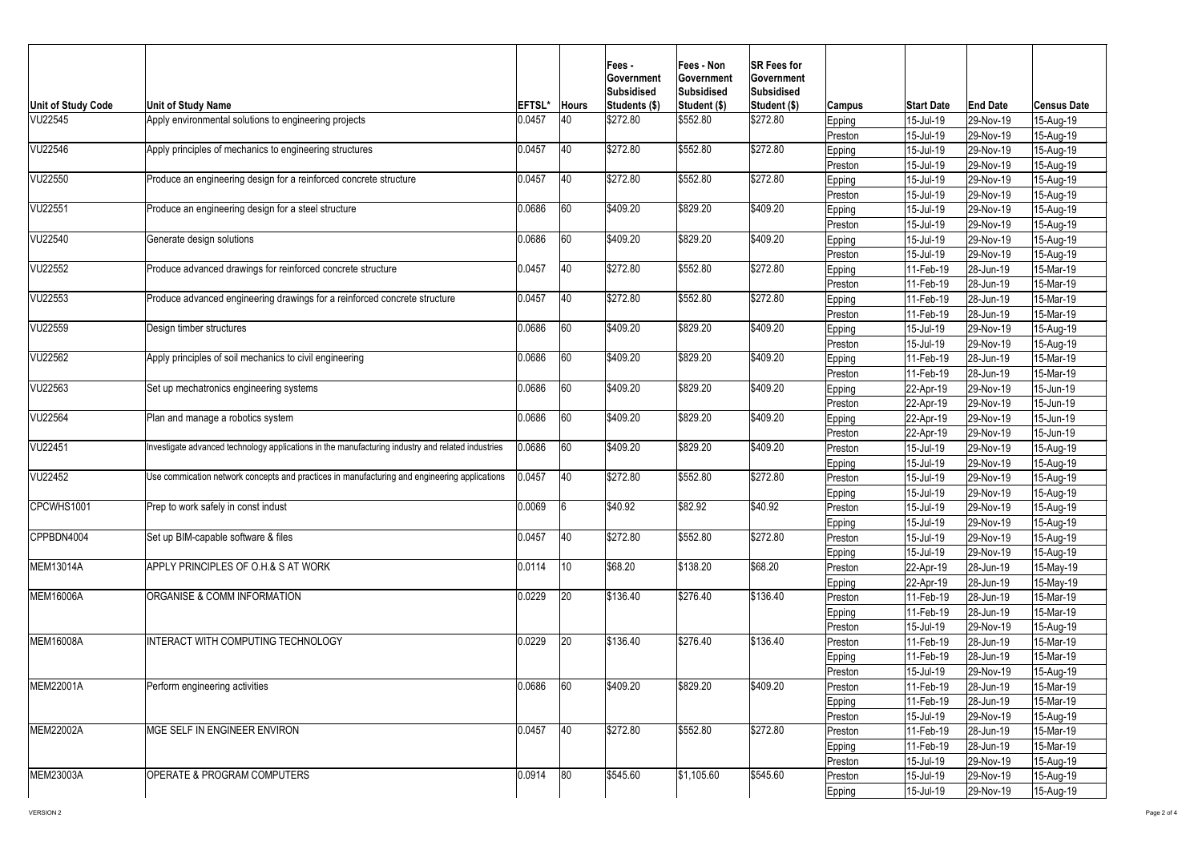

| <b>Unit of Study Code</b> | Unit of Study Name                                                                               | <b>EFTSL*</b> | <b>Hours</b>    | Fees -<br><b>Sovernment</b><br>Subsidised<br>Students (\$) | Fees - Non<br><b>IGovernment</b><br><b>Subsidised</b><br>Student (\$) | <b>SR Fees for</b><br><b>Government</b><br>Subsidised<br><b>Student (\$)</b> | Campus        | <b>Start Date</b> | <b>End Date</b> | <b>Census Date</b> |
|---------------------------|--------------------------------------------------------------------------------------------------|---------------|-----------------|------------------------------------------------------------|-----------------------------------------------------------------------|------------------------------------------------------------------------------|---------------|-------------------|-----------------|--------------------|
| <b>VU22545</b>            | Apply environmental solutions to engineering projects                                            | 0.0457        | 40              | \$272.80                                                   | \$552.80                                                              | \$272.80                                                                     | <b>Epping</b> | 15-Jul-19         | 29-Nov-19       | 15-Aug-19          |
|                           |                                                                                                  |               |                 |                                                            |                                                                       |                                                                              | Preston       | 15-Jul-19         | 29-Nov-19       | 15-Aug-19          |
| VU22546                   | Apply principles of mechanics to engineering structures                                          | 0.0457        | 40              | \$272.80                                                   | \$552.80                                                              | \$272.80                                                                     | Epping        | 15-Jul-19         | 29-Nov-19       | 15-Aug-19          |
|                           |                                                                                                  |               |                 |                                                            |                                                                       |                                                                              | Preston       | 15-Jul-19         | 29-Nov-19       | 15-Aug-19          |
| VU22550                   | Produce an engineering design for a reinforced concrete structure                                | 0.0457        | 40              | \$272.80                                                   | \$552.80                                                              | \$272.80                                                                     | Epping        | 15-Jul-19         | 29-Nov-19       | 15-Aug-19          |
|                           |                                                                                                  |               |                 |                                                            |                                                                       |                                                                              | Preston       | 15-Jul-19         | 29-Nov-19       | 15-Aug-19          |
| <b>VU22551</b>            | Produce an engineering design for a steel structure                                              | 0.0686        | 60              | \$409.20                                                   | \$829.20                                                              | \$409.20                                                                     | Epping        | 15-Jul-19         | 29-Nov-19       | 15-Aug-19          |
|                           |                                                                                                  |               |                 |                                                            |                                                                       |                                                                              | Preston       | $15$ -Jul-19      | 29-Nov-19       | 15-Aug-19          |
| VU22540                   | Generate design solutions                                                                        | 0.0686        | 60 <sub>1</sub> | \$409.20                                                   | \$829.20                                                              | \$409.20                                                                     | Epping        | $15$ -Jul-19      | 29-Nov-19       | 15-Aug-19          |
|                           |                                                                                                  |               |                 |                                                            |                                                                       |                                                                              | Preston       | $15$ -Jul-19      | 29-Nov-19       | 15-Aug-19          |
| VU22552                   | Produce advanced drawings for reinforced concrete structure                                      | 0.0457        | 40              | \$272.80                                                   | \$552.80                                                              | \$272.80                                                                     | Epping        | 11-Feb-19         | 28-Jun-19       | 15-Mar-19          |
|                           |                                                                                                  |               |                 |                                                            |                                                                       |                                                                              | Preston       | 11-Feb-19         | 28-Jun-19       | 15-Mar-19          |
| VU22553                   | Produce advanced engineering drawings for a reinforced concrete structure                        | 0.0457        | 40              | \$272.80                                                   | \$552.80                                                              | \$272.80                                                                     | <b>Epping</b> | 11-Feb-19         | 28-Jun-19       | 15-Mar-19          |
|                           |                                                                                                  |               |                 |                                                            |                                                                       |                                                                              | Preston       | $11-Feb-19$       | 28-Jun-19       | 15-Mar-19          |
| VU22559                   | Design timber structures                                                                         | 0.0686        |                 | \$409.20                                                   | \$829.20                                                              | \$409.20                                                                     | <b>Epping</b> | 15-Jul-19         | 29-Nov-19       | 15-Aug-19          |
|                           |                                                                                                  |               |                 |                                                            |                                                                       |                                                                              | Preston       | 15-Jul-19         | 29-Nov-19       | 15-Aug-19          |
| <b>VU22562</b>            | Apply principles of soil mechanics to civil engineering                                          | 0.0686        | 60              | \$409.20                                                   | \$829.20                                                              | \$409.20                                                                     | <b>Epping</b> | 11-Feb-19         | 28-Jun-19       | 15-Mar-19          |
|                           |                                                                                                  |               |                 |                                                            |                                                                       |                                                                              | Preston       | 11-Feb-19         | 28-Jun-19       | 15-Mar-19          |
| VU22563                   | Set up mechatronics engineering systems                                                          | 0.0686        | 60              | \$409.20                                                   | \$829.20                                                              | \$409.20                                                                     | <b>Epping</b> | 22-Apr-19         | 29-Nov-19       | 15-Jun-19          |
|                           |                                                                                                  |               |                 |                                                            |                                                                       |                                                                              | Preston       | 22-Apr-19         | 29-Nov-19       | 15-Jun-19          |
| <b>VU22564</b>            | Plan and manage a robotics system                                                                | 0.0686        | 60              | \$409.20                                                   | \$829.20                                                              | \$409.20                                                                     | <b>Epping</b> | 22-Apr-19         | 29-Nov-19       | 15-Jun-19          |
|                           |                                                                                                  |               |                 |                                                            |                                                                       |                                                                              | Preston       | 22-Apr-19         | 29-Nov-19       | $15$ -Jun-19       |
| <b>VU22451</b>            | nvestigate advanced technology applications in the manufacturing industry and related industries | 0.0686        | 60 <sub>1</sub> | \$409.20                                                   | \$829.20                                                              | \$409.20                                                                     | Preston       | 15-Jul-19         | 29-Nov-19       | 15-Aug-19          |
|                           |                                                                                                  |               |                 |                                                            |                                                                       |                                                                              | Epping        | 15-Jul-19         | 29-Nov-19       | 15-Aug-19          |
| VU22452                   | Use commication network concepts and practices in manufacturing and engineering applications     | 0.0457        | 40              | \$272.80                                                   | \$552.80                                                              | \$272.80                                                                     | Preston       | 15-Jul-19         | 29-Nov-19       | 15-Aug-19          |
|                           |                                                                                                  |               |                 |                                                            |                                                                       |                                                                              | Epping        | $15$ -Jul-19      | 29-Nov-19       | 15-Aug-19          |
| CPCWHS1001                | Prep to work safely in const indust                                                              | 0.0069        |                 | \$40.92                                                    | \$82.92                                                               | \$40.92                                                                      | Preston       | 15-Jul-19         | 29-Nov-19       | 15-Aug-19          |
|                           |                                                                                                  |               |                 |                                                            |                                                                       |                                                                              | Epping        | $15$ -Jul-19      | 29-Nov-19       | 15-Aug-19          |
| CPPBDN4004                | Set up BIM-capable software & files                                                              | 0.0457        | 40              | \$272.80                                                   | \$552.80                                                              | \$272.80                                                                     | Preston       | 15-Jul-19         | 29-Nov-19       | 15-Aug-19          |
|                           |                                                                                                  |               |                 |                                                            |                                                                       |                                                                              | Epping        | $15$ -Jul-19      | 29-Nov-19       | 15-Aug-19          |
| <b>MEM13014A</b>          | APPLY PRINCIPLES OF O.H.& S AT WORK                                                              | 0.0114        | 10              | \$68.20                                                    | \$138.20                                                              | \$68.20                                                                      | Preston       | $ 22 - Apr-19 $   | 28-Jun-19       | 15-May-19          |
|                           |                                                                                                  |               |                 |                                                            |                                                                       |                                                                              | <b>Epping</b> | 22-Apr-19         | 28-Jun-19       | 15-May-19          |
| <b>MEM16006A</b>          | <b>ORGANISE &amp; COMM INFORMATION</b>                                                           | $ 0.0229 $ 20 |                 | \$136.40                                                   | \$276.40                                                              | \$136.40                                                                     | Preston       | 11-Feb-19         | 28-Jun-19       | 15-Mar-19          |
|                           |                                                                                                  |               |                 |                                                            |                                                                       |                                                                              | <b>Epping</b> | 11-Feb-19         | 28-Jun-19       | 15-Mar-19          |
|                           |                                                                                                  |               |                 |                                                            |                                                                       |                                                                              | Preston       | 15-Jul-19         | 29-Nov-19       | 15-Aug-19          |
| MEM16008A                 | INTERACT WITH COMPUTING TECHNOLOGY                                                               | 0.0229        |                 | \$136.40                                                   | \$276.40                                                              | \$136.40                                                                     | Preston       | 11-Feb-19         | 28-Jun-19       | 15-Mar-19          |
|                           |                                                                                                  |               |                 |                                                            |                                                                       |                                                                              | <b>Epping</b> | 11-Feb-19         | 28-Jun-19       | 15-Mar-19          |
|                           |                                                                                                  |               |                 |                                                            |                                                                       |                                                                              | Preston       | 15-Jul-19         | 29-Nov-19       | 15-Aug-19          |
| <b>MEM22001A</b>          | Perform engineering activities                                                                   | 0.0686        | 60              | \$409.20                                                   | \$829.20                                                              | \$409.20                                                                     | Preston       | 11-Feb-19         | 28-Jun-19       | 15-Mar-19          |
|                           |                                                                                                  |               |                 |                                                            |                                                                       |                                                                              | <b>Epping</b> | 11-Feb-19         | 28-Jun-19       | 15-Mar-19          |
|                           |                                                                                                  |               |                 |                                                            |                                                                       |                                                                              | Preston       | $15$ -Jul-19      | 29-Nov-19       | 15-Aug-19          |
| MEM22002A                 | MGE SELF IN ENGINEER ENVIRON                                                                     | 0.0457        | 40              | \$272.80                                                   | \$552.80                                                              | \$272.80                                                                     | Preston       | $11-Feb-19$       | 28-Jun-19       | 15-Mar-19          |
|                           |                                                                                                  |               |                 |                                                            |                                                                       |                                                                              | <b>Epping</b> | $11-Feb-19$       | 28-Jun-19       | 15-Mar-19          |
|                           |                                                                                                  |               |                 |                                                            |                                                                       |                                                                              | Preston       | 15-Jul-19         | 29-Nov-19       | 15-Aug-19          |
| MEM23003A                 | <b>OPERATE &amp; PROGRAM COMPUTERS</b>                                                           | 0.0914        | 80              | \$545.60                                                   | \$1,105.60                                                            | \$545.60                                                                     | Preston       | 15-Jul-19         | 29-Nov-19       | 15-Aug-19          |
|                           |                                                                                                  |               |                 |                                                            |                                                                       |                                                                              | Epping        | 15-Jul-19         | 29-Nov-19       | 15-Aug-19          |
|                           |                                                                                                  |               |                 |                                                            |                                                                       |                                                                              |               |                   |                 |                    |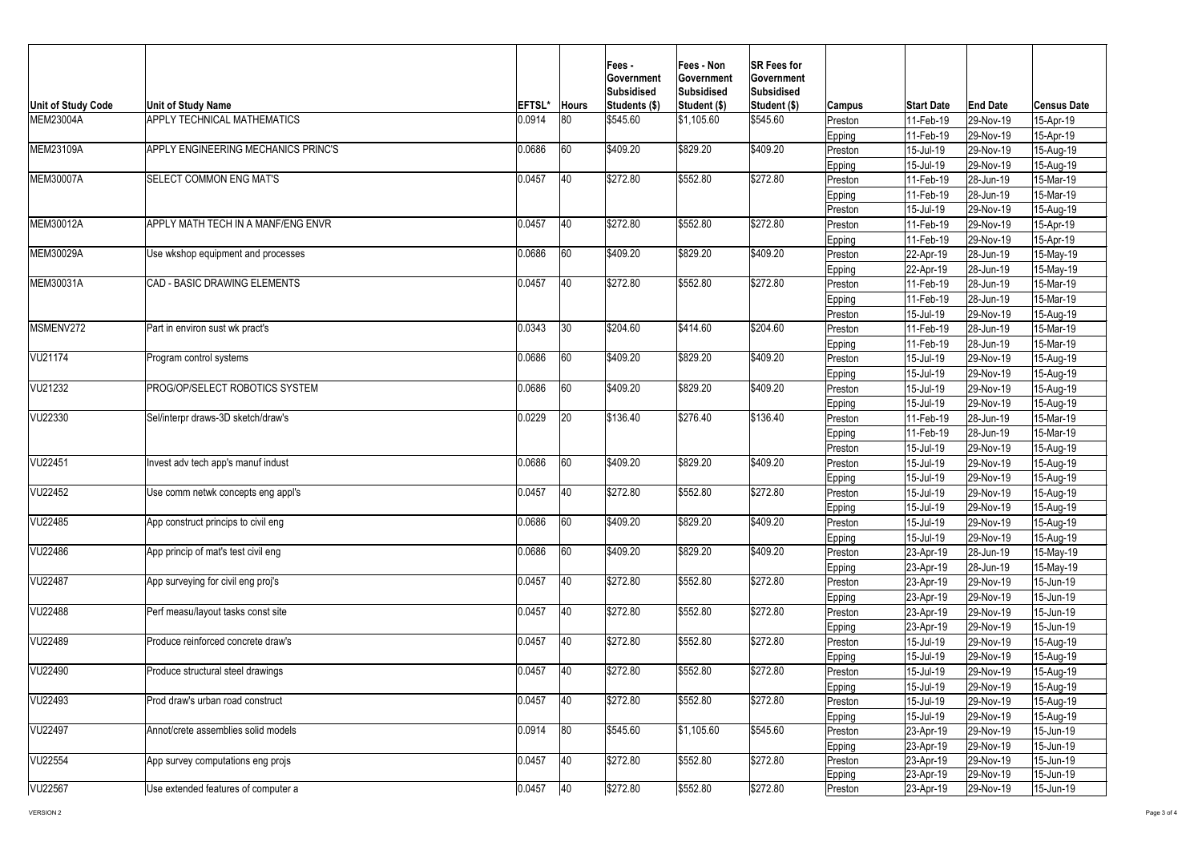

| Unit of Study Code<br><b>MEM23004A</b> | <b>Unit of Study Name</b><br><b>APPLY TECHNICAL MATHEMATICS</b> | <b>EFTSL*</b><br>0.0914 | <b>Hours</b><br>$ 80\rangle$ | <b>Fees-</b><br>∣Government<br>Subsidised<br>Students (\$)<br>\$545.60 | <b>Fees - Non</b><br><b>Government</b><br><b>Subsidised</b><br>Student (\$)<br> \$1,105.60 | <b>SR Fees for</b><br><b>Government</b><br>Subsidised<br>Student (\$)<br>\$545.60 | <b>Campus</b><br>Preston<br><b>Epping</b> | <b>Start Date</b><br>11-Feb-19<br>11-Feb-19 | <b>End Date</b><br>29-Nov-19<br>29-Nov-19 | <b>Census Date</b><br>15-Apr-19<br>15-Apr-19 |
|----------------------------------------|-----------------------------------------------------------------|-------------------------|------------------------------|------------------------------------------------------------------------|--------------------------------------------------------------------------------------------|-----------------------------------------------------------------------------------|-------------------------------------------|---------------------------------------------|-------------------------------------------|----------------------------------------------|
| MEM23109A                              | APPLY ENGINEERING MECHANICS PRINC'S                             | 0.0686                  | 60                           | \$409.20                                                               | \$829.20                                                                                   | \$409.20                                                                          | Preston                                   | $15$ -Jul-19                                | $ 29-Nov-19 $                             | 15-Aug-19                                    |
|                                        |                                                                 |                         |                              |                                                                        |                                                                                            |                                                                                   | Epping                                    | $15 -$ Jul-19                               | 29-Nov-19                                 | 15-Aug-19                                    |
| MEM30007A                              | <b>ISELECT COMMON ENG MAT'S</b>                                 | 0.0457                  | 40                           | \$272.80                                                               | \$552.80                                                                                   | \$272.80                                                                          | Preston                                   | 11-Feb-19                                   | $ 28 - Jun - 19 $                         | 15-Mar-19                                    |
|                                        |                                                                 |                         |                              |                                                                        |                                                                                            |                                                                                   | <b>Epping</b>                             | 11-Feb-19                                   | $ 28 - Jun - 19 $                         | 15-Mar-19                                    |
|                                        |                                                                 |                         |                              |                                                                        |                                                                                            |                                                                                   | Preston_                                  | $15$ -Jul-19                                | 29-Nov-19                                 | 15-Aug-19                                    |
| MEM30012A                              | <b>APPLY MATH TECH IN A MANF/ENG ENVR</b>                       | 0.0457                  | 40                           | \$272.80                                                               | \$552.80                                                                                   | \$272.80                                                                          | Preston                                   | $11-Feb-19$                                 | 29-Nov-19                                 | 15-Apr-19                                    |
|                                        |                                                                 |                         |                              |                                                                        |                                                                                            |                                                                                   | Epping                                    | 11-Feb-19                                   | 29-Nov-19                                 | 15-Apr-19                                    |
| MEM30029A                              | Use wkshop equipment and processes                              | 0.0686                  | 60                           | \$409.20                                                               | \$829.20                                                                                   | \$409.20                                                                          | Preston                                   | $ 22 - Apr-19 $                             | $ 28 - Jun - 19 $                         | 15-May-19                                    |
|                                        |                                                                 |                         |                              |                                                                        |                                                                                            |                                                                                   | <b>Epping</b>                             | $ 22 - Apr-19 $                             | 28-Jun-19                                 | 15-May-19                                    |
| MEM30031A                              | <b>CAD - BASIC DRAWING ELEMENTS</b>                             | 0.0457                  | 40                           | \$272.80                                                               | \$552.80                                                                                   | \$272.80                                                                          | Preston                                   | 11-Feb-19                                   | $ 28 - Jun - 19 $                         | 15-Mar-19                                    |
|                                        |                                                                 |                         |                              |                                                                        |                                                                                            |                                                                                   | <b>Epping</b>                             | 11-Feb-19                                   | $ 28 - Jun - 19 $                         | 15-Mar-19                                    |
|                                        |                                                                 |                         |                              |                                                                        |                                                                                            |                                                                                   | Preston                                   | $ 15 -$ Jul-19                              | 29-Nov-19                                 | 15-Aug-19                                    |
| MSMENV272                              | Part in environ sust wk pract's                                 | 0.0343                  | 30                           | \$204.60                                                               | \$414.60                                                                                   | \$204.60                                                                          | Preston                                   | 11-Feb-19                                   | 28-Jun-19                                 | 15-Mar-19                                    |
|                                        |                                                                 |                         |                              |                                                                        |                                                                                            |                                                                                   | Epping                                    | 11-Feb-19                                   | $ 28 - Jun - 19 $                         | 15-Mar-19                                    |
| VU21174                                | Program control systems                                         | 0.0686                  | 60                           | \$409.20                                                               | \$829.20                                                                                   | \$409.20                                                                          | Preston                                   | 15-Jul-19                                   | 29-Nov-19                                 | 15-Aug-19                                    |
|                                        |                                                                 |                         |                              |                                                                        |                                                                                            |                                                                                   | ∣Epping                                   | 15-Jul-19                                   | 29-Nov-19                                 | 15-Aug-19                                    |
| VU21232                                | PROG/OP/SELECT ROBOTICS SYSTEM                                  | 0.0686                  | 60                           | \$409.20                                                               | \$829.20                                                                                   | \$409.20                                                                          | Preston                                   | 15-Jul-19                                   | 29-Nov-19                                 | 15-Aug-19                                    |
|                                        |                                                                 |                         |                              |                                                                        |                                                                                            |                                                                                   | Epping                                    | 15-Jul-19                                   | 29-Nov-19                                 | 15-Aug-19                                    |
| VU22330                                | Sel/interpr draws-3D sketch/draw's                              | 0.0229                  | 20                           | \$136.40                                                               | \$276.40                                                                                   | \$136.40                                                                          | Preston                                   | 11-Feb-19                                   | $ 28 - Jun - 19 $                         | 15-Mar-19                                    |
|                                        |                                                                 |                         |                              |                                                                        |                                                                                            |                                                                                   | Epping                                    | 11-Feb-19                                   | $ 28 - Jun - 19 $                         | 15-Mar-19                                    |
|                                        |                                                                 |                         |                              |                                                                        |                                                                                            |                                                                                   | Preston                                   | 15-Jul-19                                   | $ 29-Nov-19 $                             | 15-Aug-19                                    |
| VU22451                                | Invest adv tech app's manuf indust                              | 0.0686                  | 60                           | \$409.20                                                               | \$829.20                                                                                   | \$409.20                                                                          | Preston                                   | $15$ -Jul-19                                | 29-Nov-19                                 | 15-Aug-19                                    |
|                                        |                                                                 |                         |                              |                                                                        |                                                                                            |                                                                                   | Epping                                    | 15-Jul-19                                   | $ 29-Nov-19 $                             | 15-Aug-19                                    |
| VU22452                                | Use comm netwk concepts eng appl's                              | 0.0457                  | 40                           | \$272.80                                                               | \$552.80                                                                                   | \$272.80                                                                          | Preston                                   | $15 -$ Jul-19                               | 29-Nov-19                                 | 15-Aug-19                                    |
|                                        |                                                                 |                         |                              |                                                                        |                                                                                            |                                                                                   | Epping                                    | $15 -$ Jul-19                               | 29-Nov-19                                 | 15-Aug-19                                    |
| VU22485                                | App construct princips to civil eng                             | 0.0686                  | 60                           | \$409.20                                                               | \$829.20                                                                                   | \$409.20                                                                          | Preston                                   | $15$ -Jul-19                                | $ 29-Nov-19 $                             | 15-Aug-19                                    |
|                                        |                                                                 |                         |                              |                                                                        |                                                                                            |                                                                                   | Epping                                    | $15 -$ Jul-19                               | 29-Nov-19                                 | 15-Aug-19                                    |
| VU22486                                | App princip of mat's test civil eng                             | 0.0686                  | 60                           | \$409.20                                                               | \$829.20                                                                                   | \$409.20                                                                          | Preston                                   | $ 23 - Apr-19 $                             | $ 28 - Jun - 19 $                         | 15-May-19                                    |
|                                        |                                                                 |                         |                              |                                                                        |                                                                                            |                                                                                   | Epping                                    | $ 23 - Apr-19 $                             | $ 28 - Jun - 19 $                         | 15-May-19                                    |
| <b>VU22487</b>                         | App surveying for civil eng proj's                              | 0.0457                  | 40                           | \$272.80                                                               | \$552.80                                                                                   | \$272.80                                                                          | Preston                                   | $ 23 - Apr-19 $                             | 29-Nov-19                                 | $15$ -Jun-19                                 |
|                                        |                                                                 |                         |                              |                                                                        |                                                                                            |                                                                                   | <b>Epping</b>                             | 23-Apr-19                                   | 29-Nov-19                                 | $15$ -Jun-19                                 |
| <b>VU22488</b>                         | Perf measu/layout tasks const site                              | 0.0457                  | 40                           | \$272.80                                                               | \$552.80                                                                                   | \$272.80                                                                          | Preston                                   | $ 23 - Apr-19 $                             | 29-Nov-19                                 | 15-Jun-19                                    |
|                                        |                                                                 |                         |                              |                                                                        |                                                                                            |                                                                                   | <b>Epping</b>                             | $ 23 - Apr - 19 $                           | 29-Nov-19                                 | 15-Jun-19                                    |
| VU22489                                | Produce reinforced concrete draw's                              | 0.0457                  | 40                           | \$272.80                                                               | \$552.80                                                                                   | \$272.80                                                                          | Preston                                   | 15-Jul-19                                   | 29-Nov-19                                 | 15-Aug-19                                    |
|                                        |                                                                 |                         |                              |                                                                        |                                                                                            |                                                                                   | Epping                                    | 15-Jul-19                                   | 29-Nov-19                                 | 15-Aug-19                                    |
| VU22490                                | Produce structural steel drawings                               | 0.0457                  | 40                           | \$272.80                                                               | \$552.80                                                                                   | \$272.80                                                                          | Preston                                   | $15$ -Jul-19                                | 29-Nov-19                                 | 15-Aug-19                                    |
|                                        |                                                                 |                         |                              |                                                                        |                                                                                            |                                                                                   | Epping                                    | 15-Jul-19                                   | $ 29-Nov-19 $                             | 15-Aug-19                                    |
| VU22493                                | Prod draw's urban road construct                                | 0.0457                  | 40                           | \$272.80                                                               | \$552.80                                                                                   | \$272.80                                                                          | Preston                                   | 15-Jul-19                                   | 29-Nov-19                                 | 15-Aug-19                                    |
|                                        |                                                                 |                         |                              |                                                                        |                                                                                            |                                                                                   | Epping                                    | 15-Jul-19                                   | 29-Nov-19                                 | 15-Aug-19                                    |
| VU22497                                | Annot/crete assemblies solid models                             | 0.0914                  | 80                           | \$545.60                                                               | \$1,105.60                                                                                 | \$545.60                                                                          | Preston                                   | $ 23 - Apr-19 $                             | 29-Nov-19                                 | 15-Jun-19                                    |
|                                        |                                                                 |                         |                              |                                                                        |                                                                                            |                                                                                   | Epping                                    | $ 23 - Apr-19 $                             | 29-Nov-19                                 | 15-Jun-19                                    |
| VU22554                                | App survey computations eng projs                               | 0.0457                  | 40                           | \$272.80                                                               | \$552.80                                                                                   | \$272.80                                                                          | Preston                                   | $ 23 - Apr-19 $                             | $ 29-Nov-19 $                             | 15-Jun-19                                    |
|                                        |                                                                 |                         |                              |                                                                        |                                                                                            |                                                                                   | <b>Epping</b>                             | $ 23 - Apr - 19 $                           | 29-Nov-19                                 | 15-Jun-19                                    |
| <b>VU22567</b>                         | Use extended features of computer a                             | 0.0457                  | 40                           | \$272.80                                                               | \$552.80                                                                                   | \$272.80                                                                          | Preston                                   | $ 23 - Apr - 19 $                           | $ 29-Nov-19 $                             | 15-Jun-19                                    |